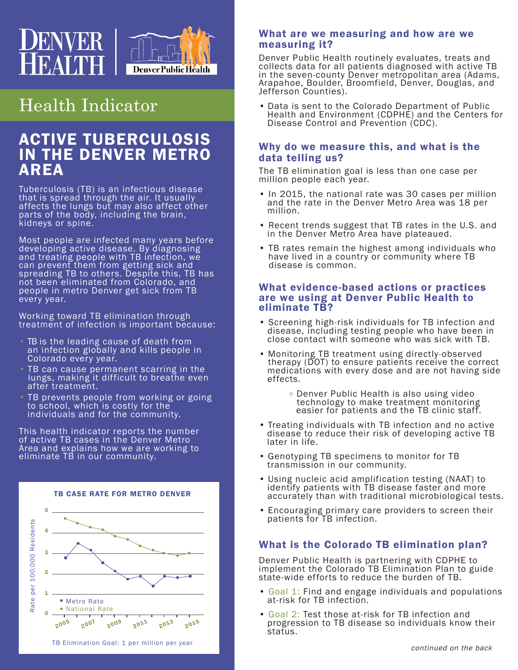

# Health Indicator

## ACTIVE TUBERCULOSIS IN THE DENVER METRO **AREA**

Tuberculosis (TB) is an infectious disease that is spread through the air. It usually affects the lungs but may also affect other parts of the body, including the brain, kidneys or spine.

Most people are infected many years before developing active disease. By diagnosing and treating people with TB infection, we can prevent them from getting sick and spreading TB to others. Despite this, TB has not been eliminated from Colorado, and people in metro Denver get sick from TB every year.

Working toward TB elimination through treatment of infection is important because:

- TB is the leading cause of death from an infection globally and kills people in Colorado every year.
- TB can cause permanent scarring in the lungs, making it difficult to breathe even after treatment.
- TB prevents people from working or going to school, which is costly for the individuals and for the community.

This health indicator reports the number of active TB cases in the Denver Metro Area and explains how we are working to eliminate TB in our community.



#### What are we measuring and how are we measuring it?

Denver Public Health routinely evaluates, treats and collects data for all patients diagnosed with active TB in the seven-county Denver metropolitan area (Adams, Arapahoe, Boulder, Broomfield, Denver, Douglas, and Jefferson Counties).

• Data is sent to the Colorado Department of Public Health and Environment (CDPHE) and the Centers for Disease Control and Prevention (CDC).

#### Why do we measure this, and what is the data telling us?

The TB elimination goal is less than one case per million people each year.

- In 2015, the national rate was 30 cases per million and the rate in the Denver Metro Area was 18 per million.
- Recent trends suggest that TB rates in the U.S. and in the Denver Metro Area have plateaued.
- TB rates remain the highest among individuals who have lived in a country or community where TB disease is common.

#### What evidence-based actions or practices are we using at Denver Public Health to eliminate TB?

- Screening high-risk individuals for TB infection and disease, including testing people who have been in close contact with someone who was sick with TB.
- Monitoring TB treatment using directly-observed therapy (DOT) to ensure patients receive the correct medications with every dose and are not having side effects.
- Denver Public Health is also using video technology to make treatment monitoring easier for patients and the TB clinic staff.
- Treating individuals with TB infection and no active disease to reduce their risk of developing active TB later in life.
- Genotyping TB specimens to monitor for TB transmission in our community.
- Using nucleic acid amplification testing (NAAT) to identify patients with TB disease faster and more accurately than with traditional microbiological tests.
- Encouraging primary care providers to screen their patients for TB infection.

### What is the Colorado TB elimination plan?

Denver Public Health is partnering with CDPHE to implement the Colorado TB Elimination Plan to guide state-wide efforts to reduce the burden of TB.

- Goal 1: Find and engage individuals and populations at-risk for TB infection.
- Goal 2: Test those at-risk for TB infection and progression to TB disease so individuals know their status.

continued on the back